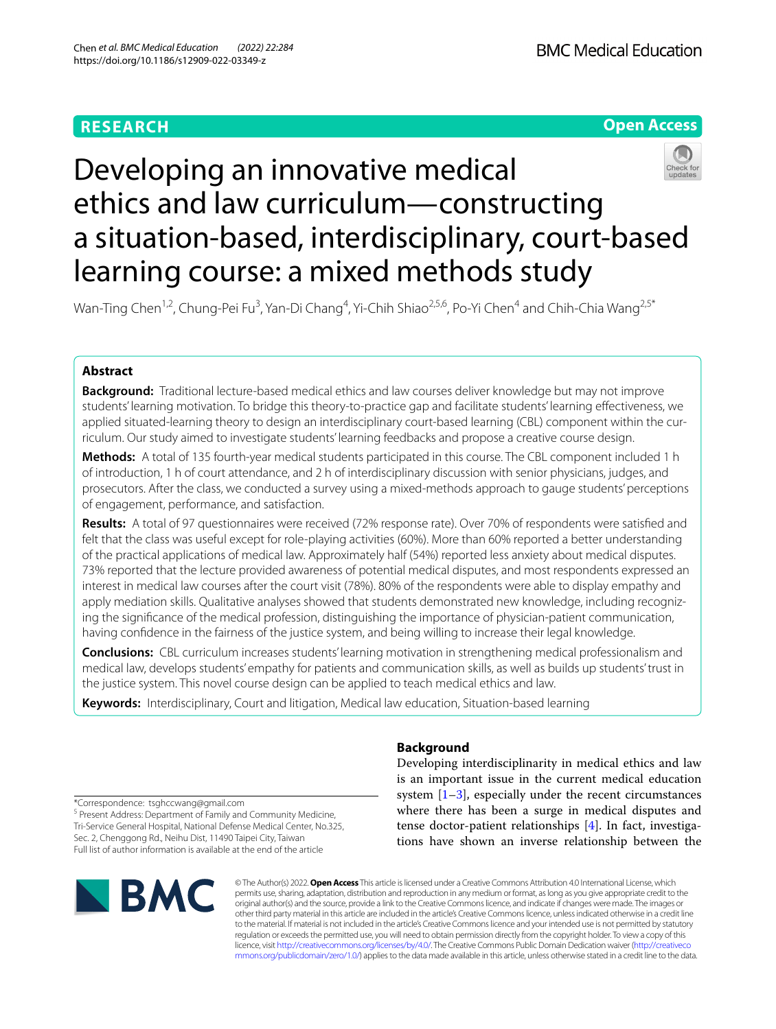# **RESEARCH**



# Developing an innovative medical ethics and law curriculum—constructing a situation-based, interdisciplinary, court-based learning course: a mixed methods study

Wan-Ting Chen<sup>1,2</sup>, Chung-Pei Fu<sup>3</sup>, Yan-Di Chang<sup>4</sup>, Yi-Chih Shiao<sup>2,5,6</sup>, Po-Yi Chen<sup>4</sup> and Chih-Chia Wang<sup>2,5\*</sup>

## **Abstract**

**Background:** Traditional lecture-based medical ethics and law courses deliver knowledge but may not improve students' learning motivation. To bridge this theory-to-practice gap and facilitate students' learning efectiveness, we applied situated-learning theory to design an interdisciplinary court-based learning (CBL) component within the curriculum. Our study aimed to investigate students' learning feedbacks and propose a creative course design.

**Methods:** A total of 135 fourth-year medical students participated in this course. The CBL component included 1 h of introduction, 1 h of court attendance, and 2 h of interdisciplinary discussion with senior physicians, judges, and prosecutors. After the class, we conducted a survey using a mixed-methods approach to gauge students' perceptions of engagement, performance, and satisfaction.

**Results:** A total of 97 questionnaires were received (72% response rate). Over 70% of respondents were satisfed and felt that the class was useful except for role-playing activities (60%). More than 60% reported a better understanding of the practical applications of medical law. Approximately half (54%) reported less anxiety about medical disputes. 73% reported that the lecture provided awareness of potential medical disputes, and most respondents expressed an interest in medical law courses after the court visit (78%). 80% of the respondents were able to display empathy and apply mediation skills. Qualitative analyses showed that students demonstrated new knowledge, including recognizing the signifcance of the medical profession, distinguishing the importance of physician-patient communication, having confdence in the fairness of the justice system, and being willing to increase their legal knowledge.

**Conclusions:** CBL curriculum increases students' learning motivation in strengthening medical professionalism and medical law, develops students' empathy for patients and communication skills, as well as builds up students' trust in the justice system. This novel course design can be applied to teach medical ethics and law.

**Keywords:** Interdisciplinary, Court and litigation, Medical law education, Situation-based learning

**Background**

Developing interdisciplinarity in medical ethics and law is an important issue in the current medical education system [\[1](#page-6-0)[–3](#page-6-1)], especially under the recent circumstances where there has been a surge in medical disputes and tense doctor-patient relationships [[4\]](#page-6-2). In fact, investigations have shown an inverse relationship between the

\*Correspondence: tsghccwang@gmail.com

<sup>5</sup> Present Address: Department of Family and Community Medicine, Tri‑Service General Hospital, National Defense Medical Center, No.325, Sec. 2, Chenggong Rd., Neihu Dist, 11490 Taipei City, Taiwan Full list of author information is available at the end of the article



© The Author(s) 2022. **Open Access** This article is licensed under a Creative Commons Attribution 4.0 International License, which permits use, sharing, adaptation, distribution and reproduction in any medium or format, as long as you give appropriate credit to the original author(s) and the source, provide a link to the Creative Commons licence, and indicate if changes were made. The images or other third party material in this article are included in the article's Creative Commons licence, unless indicated otherwise in a credit line to the material. If material is not included in the article's Creative Commons licence and your intended use is not permitted by statutory regulation or exceeds the permitted use, you will need to obtain permission directly from the copyright holder. To view a copy of this licence, visit [http://creativecommons.org/licenses/by/4.0/.](http://creativecommons.org/licenses/by/4.0/) The Creative Commons Public Domain Dedication waiver ([http://creativeco](http://creativecommons.org/publicdomain/zero/1.0/) [mmons.org/publicdomain/zero/1.0/](http://creativecommons.org/publicdomain/zero/1.0/)) applies to the data made available in this article, unless otherwise stated in a credit line to the data.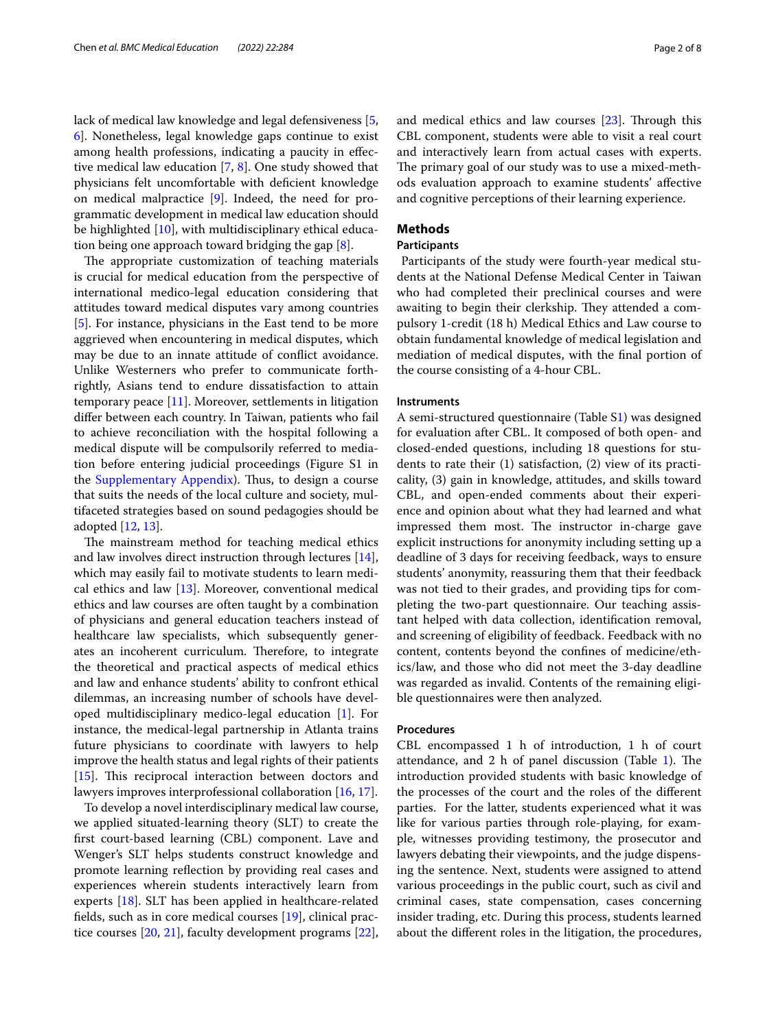lack of medical law knowledge and legal defensiveness [\[5](#page-6-3), [6\]](#page-6-4). Nonetheless, legal knowledge gaps continue to exist among health professions, indicating a paucity in efective medical law education [\[7](#page-6-5), [8](#page-6-6)]. One study showed that physicians felt uncomfortable with defcient knowledge on medical malpractice [\[9](#page-6-7)]. Indeed, the need for programmatic development in medical law education should be highlighted  $[10]$  $[10]$ , with multidisciplinary ethical education being one approach toward bridging the gap [\[8](#page-6-6)].

The appropriate customization of teaching materials is crucial for medical education from the perspective of international medico-legal education considering that attitudes toward medical disputes vary among countries [[5\]](#page-6-3). For instance, physicians in the East tend to be more aggrieved when encountering in medical disputes, which may be due to an innate attitude of confict avoidance. Unlike Westerners who prefer to communicate forthrightly, Asians tend to endure dissatisfaction to attain temporary peace [\[11](#page-7-0)]. Moreover, settlements in litigation difer between each country. In Taiwan, patients who fail to achieve reconciliation with the hospital following a medical dispute will be compulsorily referred to mediation before entering judicial proceedings (Figure S1 in the [Supplementary Appendix](#page-6-9)). Thus, to design a course that suits the needs of the local culture and society, multifaceted strategies based on sound pedagogies should be adopted [\[12](#page-7-1), [13\]](#page-7-2).

The mainstream method for teaching medical ethics and law involves direct instruction through lectures [\[14](#page-7-3)], which may easily fail to motivate students to learn medical ethics and law  $[13]$ . Moreover, conventional medical ethics and law courses are often taught by a combination of physicians and general education teachers instead of healthcare law specialists, which subsequently generates an incoherent curriculum. Therefore, to integrate the theoretical and practical aspects of medical ethics and law and enhance students' ability to confront ethical dilemmas, an increasing number of schools have developed multidisciplinary medico-legal education [[1\]](#page-6-0). For instance, the medical-legal partnership in Atlanta trains future physicians to coordinate with lawyers to help improve the health status and legal rights of their patients [[15\]](#page-7-4). This reciprocal interaction between doctors and lawyers improves interprofessional collaboration [\[16](#page-7-5), [17\]](#page-7-6).

To develop a novel interdisciplinary medical law course, we applied situated-learning theory (SLT) to create the frst court-based learning (CBL) component. Lave and Wenger's SLT helps students construct knowledge and promote learning reflection by providing real cases and experiences wherein students interactively learn from experts [\[18](#page-7-7)]. SLT has been applied in healthcare-related felds, such as in core medical courses [\[19](#page-7-8)], clinical practice courses [[20,](#page-7-9) [21\]](#page-7-10), faculty development programs [\[22](#page-7-11)], and medical ethics and law courses  $[23]$  $[23]$  $[23]$ . Through this CBL component, students were able to visit a real court and interactively learn from actual cases with experts. The primary goal of our study was to use a mixed-methods evaluation approach to examine students' afective and cognitive perceptions of their learning experience.

## **Methods**

## **Participants**

 Participants of the study were fourth-year medical students at the National Defense Medical Center in Taiwan who had completed their preclinical courses and were awaiting to begin their clerkship. They attended a compulsory 1-credit (18 h) Medical Ethics and Law course to obtain fundamental knowledge of medical legislation and mediation of medical disputes, with the fnal portion of the course consisting of a 4-hour CBL.

## **Instruments**

A semi-structured questionnaire (Table S[1\)](#page-6-9) was designed for evaluation after CBL. It composed of both open- and closed-ended questions, including 18 questions for students to rate their (1) satisfaction, (2) view of its practicality, (3) gain in knowledge, attitudes, and skills toward CBL, and open-ended comments about their experience and opinion about what they had learned and what impressed them most. The instructor in-charge gave explicit instructions for anonymity including setting up a deadline of 3 days for receiving feedback, ways to ensure students' anonymity, reassuring them that their feedback was not tied to their grades, and providing tips for completing the two-part questionnaire. Our teaching assistant helped with data collection, identifcation removal, and screening of eligibility of feedback. Feedback with no content, contents beyond the confnes of medicine/ethics/law, and those who did not meet the 3-day deadline was regarded as invalid. Contents of the remaining eligible questionnaires were then analyzed.

## **Procedures**

CBL encompassed 1 h of introduction, 1 h of court attendance, and  $2 h$  of panel discussion (Table [1\)](#page-2-0). The introduction provided students with basic knowledge of the processes of the court and the roles of the diferent parties. For the latter, students experienced what it was like for various parties through role-playing, for example, witnesses providing testimony, the prosecutor and lawyers debating their viewpoints, and the judge dispensing the sentence. Next, students were assigned to attend various proceedings in the public court, such as civil and criminal cases, state compensation, cases concerning insider trading, etc. During this process, students learned about the diferent roles in the litigation, the procedures,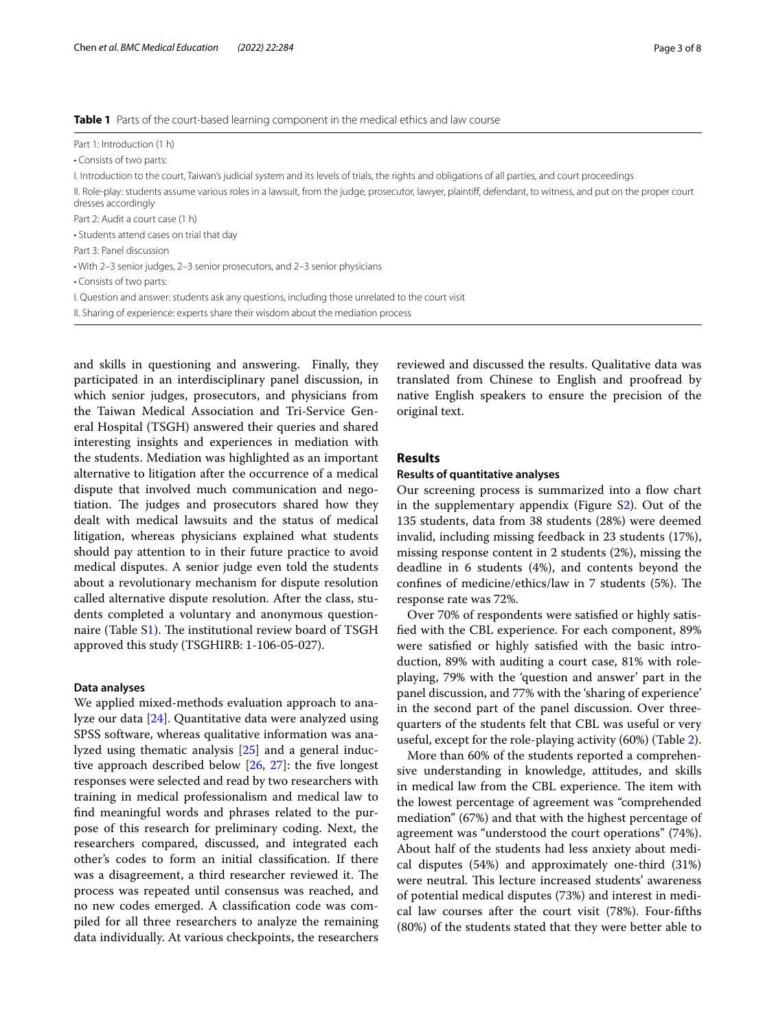<span id="page-2-0"></span>

| Part 1: Introduction (1 h)                                                                                                                                                          |
|-------------------------------------------------------------------------------------------------------------------------------------------------------------------------------------|
| • Consists of two parts:                                                                                                                                                            |
| I. Introduction to the court, Taiwan's judicial system and its levels of trials, the rights and obligations of all parties, and court proceedings                                   |
| II. Role-play: students assume various roles in a lawsuit, from the judge, prosecutor, lawyer, plaintiff, defendant, to witness, and put on the proper court<br>dresses accordingly |
| Part 2: Audit a court case (1 h)                                                                                                                                                    |
| • Students attend cases on trial that day                                                                                                                                           |
| Part 3: Panel discussion                                                                                                                                                            |
| • With 2-3 senior judges, 2-3 senior prosecutors, and 2-3 senior physicians                                                                                                         |
| • Consists of two parts:                                                                                                                                                            |
| I. Question and answer: students ask any questions, including those unrelated to the court visit                                                                                    |
| II. Sharing of experience: experts share their wisdom about the mediation process                                                                                                   |

and skills in questioning and answering. Finally, they participated in an interdisciplinary panel discussion, in which senior judges, prosecutors, and physicians from the Taiwan Medical Association and Tri-Service General Hospital (TSGH) answered their queries and shared interesting insights and experiences in mediation with the students. Mediation was highlighted as an important alternative to litigation after the occurrence of a medical dispute that involved much communication and negotiation. The judges and prosecutors shared how they dealt with medical lawsuits and the status of medical litigation, whereas physicians explained what students should pay attention to in their future practice to avoid medical disputes. A senior judge even told the students about a revolutionary mechanism for dispute resolution called alternative dispute resolution. After the class, students completed a voluntary and anonymous question-naire (Table [S1](#page-6-9)). The institutional review board of TSGH approved this study (TSGHIRB: 1-106-05-027).

## **Data analyses**

We applied mixed-methods evaluation approach to analyze our data [[24](#page-7-13)]. Quantitative data were analyzed using SPSS software, whereas qualitative information was analyzed using thematic analysis [\[25](#page-7-14)] and a general induc-tive approach described below [[26](#page-7-15), [27](#page-7-16)]: the five longest responses were selected and read by two researchers with training in medical professionalism and medical law to fnd meaningful words and phrases related to the purpose of this research for preliminary coding. Next, the researchers compared, discussed, and integrated each other's codes to form an initial classifcation. If there was a disagreement, a third researcher reviewed it. The process was repeated until consensus was reached, and no new codes emerged. A classifcation code was compiled for all three researchers to analyze the remaining data individually. At various checkpoints, the researchers reviewed and discussed the results. Qualitative data was translated from Chinese to English and proofread by native English speakers to ensure the precision of the original text.

## **Results**

## **Results of quantitative analyses**

Our screening process is summarized into a flow chart in the supplementary appendix (Figure S[2\)](#page-6-9). Out of the 135 students, data from 38 students (28%) were deemed invalid, including missing feedback in 23 students (17%), missing response content in 2 students (2%), missing the deadline in 6 students (4%), and contents beyond the confines of medicine/ethics/law in 7 students (5%). The response rate was 72%.

Over 70% of respondents were satisfed or highly satisfed with the CBL experience. For each component, 89% were satisfed or highly satisfed with the basic introduction, 89% with auditing a court case, 81% with roleplaying, 79% with the 'question and answer' part in the panel discussion, and 77% with the 'sharing of experience' in the second part of the panel discussion. Over threequarters of the students felt that CBL was useful or very useful, except for the role-playing activity (60%) (Table [2](#page-3-0)).

More than 60% of the students reported a comprehensive understanding in knowledge, attitudes, and skills in medical law from the CBL experience. The item with the lowest percentage of agreement was "comprehended mediation" (67%) and that with the highest percentage of agreement was "understood the court operations" (74%). About half of the students had less anxiety about medical disputes (54%) and approximately one-third (31%) were neutral. This lecture increased students' awareness of potential medical disputes (73%) and interest in medical law courses after the court visit (78%). Four-ffths (80%) of the students stated that they were better able to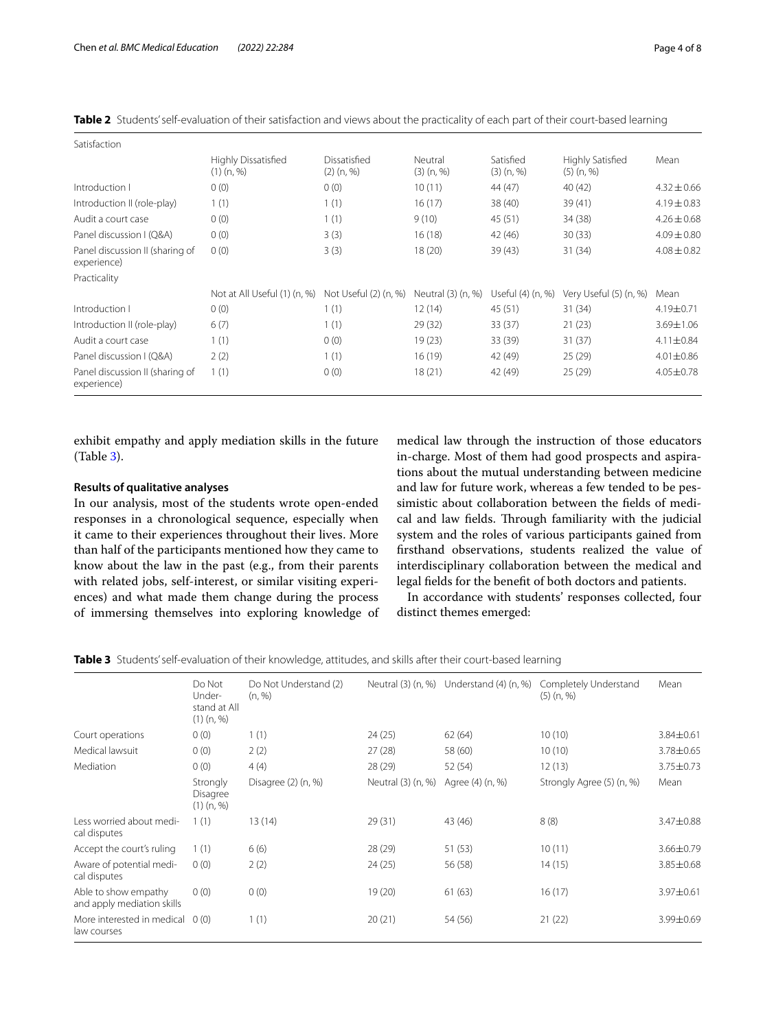| Satisfaction                                   |                                     |                              |                         |                           |                                         |                 |
|------------------------------------------------|-------------------------------------|------------------------------|-------------------------|---------------------------|-----------------------------------------|-----------------|
|                                                | Highly Dissatisfied<br>$(1)$ (n, %) | Dissatisfied<br>$(2)$ (n, %) | Neutral<br>$(3)$ (n, %) | Satisfied<br>$(3)$ (n, %) | <b>Highly Satisfied</b><br>$(5)$ (n, %) | Mean            |
| Introduction I                                 | 0(0)                                | 0(0)                         | 10(11)                  | 44 (47)                   | 40 (42)                                 | $4.32 \pm 0.66$ |
| Introduction II (role-play)                    | 1(1)                                | 1(1)                         | 16(17)                  | 38 (40)                   | 39 (41)                                 | $4.19 \pm 0.83$ |
| Audit a court case                             | 0(0)                                | 1(1)                         | 9(10)                   | 45 (51)                   | 34 (38)                                 | $4.26 \pm 0.68$ |
| Panel discussion I (Q&A)                       | 0(0)                                | 3(3)                         | 16(18)                  | 42 (46)                   | 30(33)                                  | $4.09 \pm 0.80$ |
| Panel discussion II (sharing of<br>experience) | 0(0)                                | 3(3)                         | 18(20)                  | 39(43)                    | 31 (34)                                 | $4.08 \pm 0.82$ |
| Practicality                                   |                                     |                              |                         |                           |                                         |                 |
|                                                | Not at All Useful (1) (n, %)        | Not Useful (2) (n, %)        | Neutral (3) (n, %)      | Useful (4) (n, %)         | Very Useful (5) (n, %)                  | Mean            |
| Introduction I                                 | 0(0)                                | 1(1)                         | 12(14)                  | 45 (51)                   | 31(34)                                  | 4.19±0.71       |
| Introduction II (role-play)                    | 6(7)                                |                              | 29(32)                  | 33(37)                    | 21(23)                                  | 3.69±1.06       |
| Audit a court case                             | 1(1)                                | 0(0)                         | 19(23)                  | 33 (39)                   | 31 (37)                                 | $4.11 \pm 0.84$ |
| Panel discussion I (Q&A)                       | 2(2)                                | 1(1)                         | 16(19)                  | 42 (49)                   | 25(29)                                  | $4.01 \pm 0.86$ |
| Panel discussion II (sharing of<br>experience) | 1(1)                                | 0(0)                         | 18(21)                  | 42 (49)                   | 25(29)                                  | $4.05 \pm 0.78$ |
|                                                |                                     |                              |                         |                           |                                         |                 |

<span id="page-3-0"></span>Table 2 Students' self-evaluation of their satisfaction and views about the practicality of each part of their court-based learning

exhibit empathy and apply mediation skills in the future (Table [3](#page-3-1)).

## **Results of qualitative analyses**

In our analysis, most of the students wrote open-ended responses in a chronological sequence, especially when it came to their experiences throughout their lives. More than half of the participants mentioned how they came to know about the law in the past (e.g., from their parents with related jobs, self-interest, or similar visiting experiences) and what made them change during the process of immersing themselves into exploring knowledge of medical law through the instruction of those educators in-charge. Most of them had good prospects and aspirations about the mutual understanding between medicine and law for future work, whereas a few tended to be pessimistic about collaboration between the felds of medical and law fields. Through familiarity with the judicial system and the roles of various participants gained from frsthand observations, students realized the value of interdisciplinary collaboration between the medical and legal felds for the beneft of both doctors and patients.

In accordance with students' responses collected, four distinct themes emerged:

<span id="page-3-1"></span>**Table 3** Students' self-evaluation of their knowledge, attitudes, and skills after their court-based learning

|                                                    | Do Not<br>Under-<br>stand at All<br>$(1)$ (n, %) | Do Not Understand (2)<br>(n, %) |                    | Neutral (3) (n, %) Understand (4) (n, %) | Completely Understand<br>$(5)$ (n, %) | Mean            |
|----------------------------------------------------|--------------------------------------------------|---------------------------------|--------------------|------------------------------------------|---------------------------------------|-----------------|
| Court operations                                   | 0(0)                                             | 1(1)                            | 24(25)             | 62(64)                                   | 10(10)                                | 3.84±0.61       |
| Medical lawsuit                                    | 0(0)                                             | 2(2)                            | 27(28)             | 58 (60)                                  | 10(10)                                | 3.78±0.65       |
| Mediation                                          | 0(0)                                             | 4(4)                            | 28 (29)            | 52 (54)                                  | 12(13)                                | $3.75 \pm 0.73$ |
|                                                    | Strongly<br>Disagree<br>$(1)$ $(n, %)$           | Disagree $(2)$ $(n, %)$         | Neutral (3) (n, %) | Agree (4) (n, %)                         | Strongly Agree (5) (n, %)             | Mean            |
| Less worried about medi-<br>cal disputes           | 1(1)                                             | 13 (14)                         | 29(31)             | 43 (46)                                  | 8(8)                                  | 3.47±0.88       |
| Accept the court's ruling                          | 1(1)                                             | 6(6)                            | 28 (29)            | 51(53)                                   | 10(11)                                | 3.66±0.79       |
| Aware of potential medi-<br>cal disputes           | 0(0)                                             | 2(2)                            | 24(25)             | 56 (58)                                  | 14(15)                                | 3.85±0.68       |
| Able to show empathy<br>and apply mediation skills | 0(0)                                             | 0(0)                            | 19 (20)            | 61(63)                                   | 16(17)                                | 3.97±0.61       |
| More interested in medical 0 (0)<br>law courses    |                                                  | 1(1)                            | 20(21)             | 54 (56)                                  | 21(22)                                | 3.99±0.69       |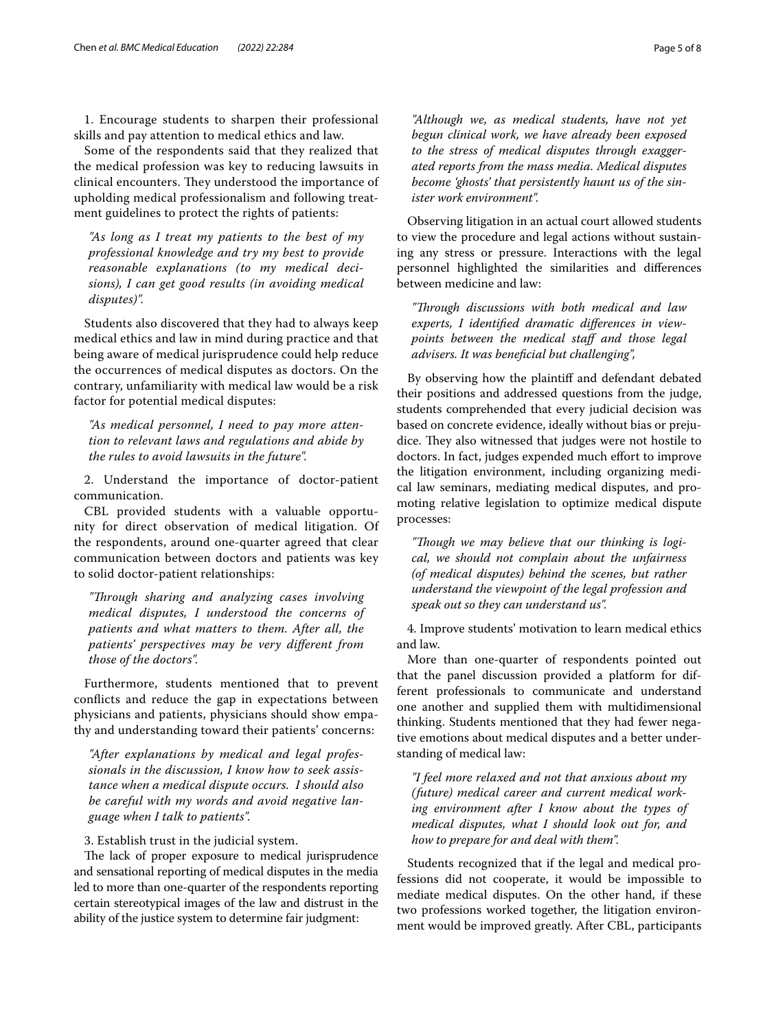1. Encourage students to sharpen their professional skills and pay attention to medical ethics and law.

Some of the respondents said that they realized that the medical profession was key to reducing lawsuits in clinical encounters. They understood the importance of upholding medical professionalism and following treatment guidelines to protect the rights of patients:

*"As long as I treat my patients to the best of my professional knowledge and try my best to provide reasonable explanations (to my medical decisions), I can get good results (in avoiding medical disputes)".*

Students also discovered that they had to always keep medical ethics and law in mind during practice and that being aware of medical jurisprudence could help reduce the occurrences of medical disputes as doctors. On the contrary, unfamiliarity with medical law would be a risk factor for potential medical disputes:

*"As medical personnel, I need to pay more attention to relevant laws and regulations and abide by the rules to avoid lawsuits in the future".*

2. Understand the importance of doctor-patient communication.

CBL provided students with a valuable opportunity for direct observation of medical litigation. Of the respondents, around one-quarter agreed that clear communication between doctors and patients was key to solid doctor-patient relationships:

*"Trough sharing and analyzing cases involving medical disputes, I understood the concerns of patients and what matters to them. After all, the patients' perspectives may be very diferent from those of the doctors".*

Furthermore, students mentioned that to prevent conficts and reduce the gap in expectations between physicians and patients, physicians should show empathy and understanding toward their patients' concerns:

*"After explanations by medical and legal professionals in the discussion, I know how to seek assistance when a medical dispute occurs. I should also be careful with my words and avoid negative language when I talk to patients".*

3. Establish trust in the judicial system.

The lack of proper exposure to medical jurisprudence and sensational reporting of medical disputes in the media led to more than one-quarter of the respondents reporting certain stereotypical images of the law and distrust in the ability of the justice system to determine fair judgment:

*"Although we, as medical students, have not yet begun clinical work, we have already been exposed to the stress of medical disputes through exaggerated reports from the mass media. Medical disputes become 'ghosts' that persistently haunt us of the sinister work environment".*

Observing litigation in an actual court allowed students to view the procedure and legal actions without sustaining any stress or pressure. Interactions with the legal personnel highlighted the similarities and diferences between medicine and law:

*"Trough discussions with both medical and law experts, I identifed dramatic diferences in viewpoints between the medical staf and those legal advisers. It was benefcial but challenging",*

By observing how the plaintif and defendant debated their positions and addressed questions from the judge, students comprehended that every judicial decision was based on concrete evidence, ideally without bias or prejudice. They also witnessed that judges were not hostile to doctors. In fact, judges expended much effort to improve the litigation environment, including organizing medical law seminars, mediating medical disputes, and promoting relative legislation to optimize medical dispute processes:

"Though we may believe that our thinking is logi*cal, we should not complain about the unfairness (of medical disputes) behind the scenes, but rather understand the viewpoint of the legal profession and speak out so they can understand us".*

4. Improve students' motivation to learn medical ethics and law.

More than one-quarter of respondents pointed out that the panel discussion provided a platform for different professionals to communicate and understand one another and supplied them with multidimensional thinking. Students mentioned that they had fewer negative emotions about medical disputes and a better understanding of medical law:

*"I feel more relaxed and not that anxious about my (future) medical career and current medical working environment after I know about the types of medical disputes, what I should look out for, and how to prepare for and deal with them".*

Students recognized that if the legal and medical professions did not cooperate, it would be impossible to mediate medical disputes. On the other hand, if these two professions worked together, the litigation environment would be improved greatly. After CBL, participants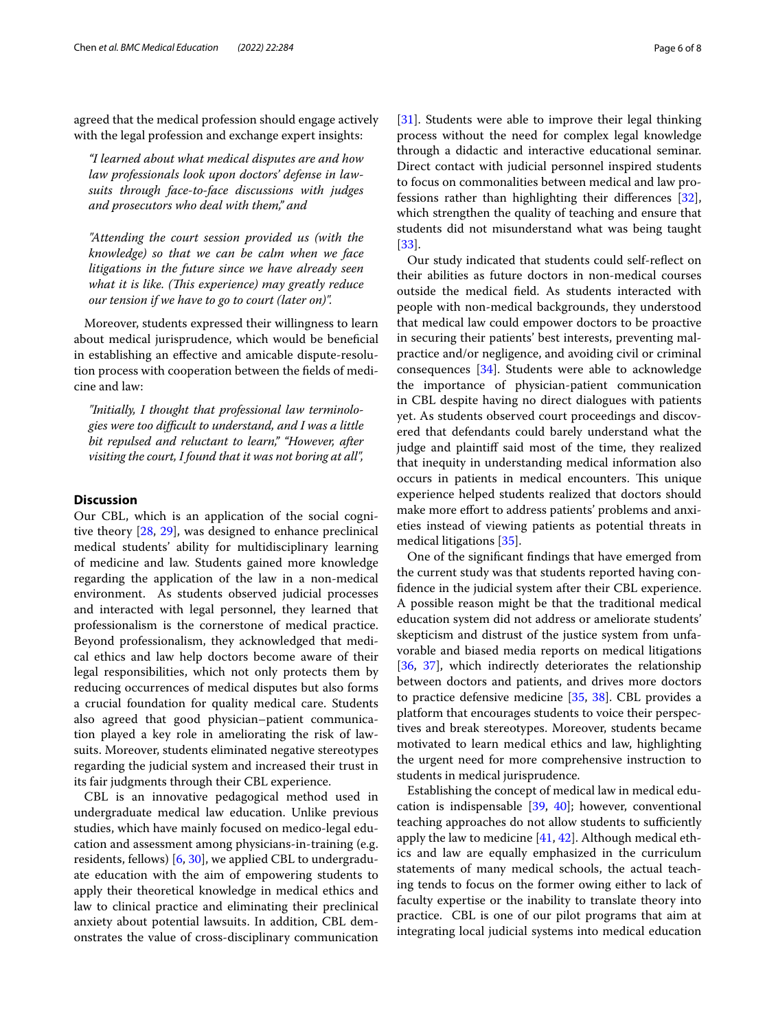agreed that the medical profession should engage actively with the legal profession and exchange expert insights:

*"I learned about what medical disputes are and how law professionals look upon doctors' defense in lawsuits through face-to-face discussions with judges and prosecutors who deal with them," and*

*"Attending the court session provided us (with the knowledge) so that we can be calm when we face litigations in the future since we have already seen what it is like. (This experience) may greatly reduce our tension if we have to go to court (later on)".*

Moreover, students expressed their willingness to learn about medical jurisprudence, which would be beneficial in establishing an efective and amicable dispute-resolution process with cooperation between the felds of medicine and law:

*"Initially, I thought that professional law terminologies were too difcult to understand, and I was a little bit repulsed and reluctant to learn," "However, after visiting the court, I found that it was not boring at all",*

## **Discussion**

Our CBL, which is an application of the social cognitive theory [[28,](#page-7-17) [29\]](#page-7-18), was designed to enhance preclinical medical students' ability for multidisciplinary learning of medicine and law. Students gained more knowledge regarding the application of the law in a non-medical environment. As students observed judicial processes and interacted with legal personnel, they learned that professionalism is the cornerstone of medical practice. Beyond professionalism, they acknowledged that medical ethics and law help doctors become aware of their legal responsibilities, which not only protects them by reducing occurrences of medical disputes but also forms a crucial foundation for quality medical care. Students also agreed that good physician–patient communication played a key role in ameliorating the risk of lawsuits. Moreover, students eliminated negative stereotypes regarding the judicial system and increased their trust in its fair judgments through their CBL experience.

CBL is an innovative pedagogical method used in undergraduate medical law education. Unlike previous studies, which have mainly focused on medico-legal education and assessment among physicians-in-training (e.g. residents, fellows) [\[6](#page-6-4), [30](#page-7-19)], we applied CBL to undergraduate education with the aim of empowering students to apply their theoretical knowledge in medical ethics and law to clinical practice and eliminating their preclinical anxiety about potential lawsuits. In addition, CBL demonstrates the value of cross-disciplinary communication [[31\]](#page-7-20). Students were able to improve their legal thinking process without the need for complex legal knowledge through a didactic and interactive educational seminar. Direct contact with judicial personnel inspired students to focus on commonalities between medical and law professions rather than highlighting their diferences [\[32](#page-7-21)], which strengthen the quality of teaching and ensure that students did not misunderstand what was being taught [[33\]](#page-7-22).

Our study indicated that students could self-refect on their abilities as future doctors in non-medical courses outside the medical feld. As students interacted with people with non-medical backgrounds, they understood that medical law could empower doctors to be proactive in securing their patients' best interests, preventing malpractice and/or negligence, and avoiding civil or criminal consequences [[34\]](#page-7-23). Students were able to acknowledge the importance of physician-patient communication in CBL despite having no direct dialogues with patients yet. As students observed court proceedings and discovered that defendants could barely understand what the judge and plaintif said most of the time, they realized that inequity in understanding medical information also occurs in patients in medical encounters. This unique experience helped students realized that doctors should make more effort to address patients' problems and anxieties instead of viewing patients as potential threats in medical litigations [\[35](#page-7-24)].

One of the signifcant fndings that have emerged from the current study was that students reported having confdence in the judicial system after their CBL experience. A possible reason might be that the traditional medical education system did not address or ameliorate students' skepticism and distrust of the justice system from unfavorable and biased media reports on medical litigations [[36,](#page-7-25) [37\]](#page-7-26), which indirectly deteriorates the relationship between doctors and patients, and drives more doctors to practice defensive medicine [\[35,](#page-7-24) [38\]](#page-7-27). CBL provides a platform that encourages students to voice their perspectives and break stereotypes. Moreover, students became motivated to learn medical ethics and law, highlighting the urgent need for more comprehensive instruction to students in medical jurisprudence.

Establishing the concept of medical law in medical education is indispensable [[39,](#page-7-28) [40](#page-7-29)]; however, conventional teaching approaches do not allow students to sufficiently apply the law to medicine [\[41](#page-7-30), [42\]](#page-7-31). Although medical ethics and law are equally emphasized in the curriculum statements of many medical schools, the actual teaching tends to focus on the former owing either to lack of faculty expertise or the inability to translate theory into practice. CBL is one of our pilot programs that aim at integrating local judicial systems into medical education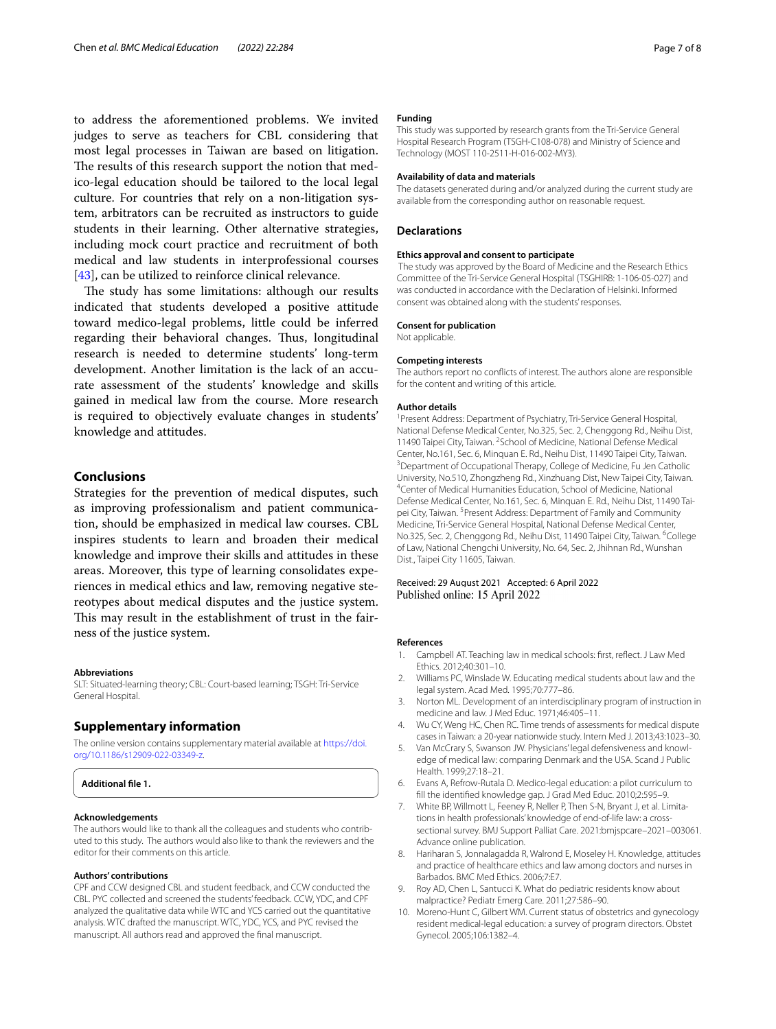to address the aforementioned problems. We invited judges to serve as teachers for CBL considering that most legal processes in Taiwan are based on litigation. The results of this research support the notion that medico-legal education should be tailored to the local legal culture. For countries that rely on a non-litigation system, arbitrators can be recruited as instructors to guide students in their learning. Other alternative strategies, including mock court practice and recruitment of both medical and law students in interprofessional courses [[43\]](#page-7-32), can be utilized to reinforce clinical relevance.

The study has some limitations: although our results indicated that students developed a positive attitude toward medico-legal problems, little could be inferred regarding their behavioral changes. Thus, longitudinal research is needed to determine students' long-term development. Another limitation is the lack of an accurate assessment of the students' knowledge and skills gained in medical law from the course. More research is required to objectively evaluate changes in students' knowledge and attitudes.

## **Conclusions**

Strategies for the prevention of medical disputes, such as improving professionalism and patient communication, should be emphasized in medical law courses. CBL inspires students to learn and broaden their medical knowledge and improve their skills and attitudes in these areas. Moreover, this type of learning consolidates experiences in medical ethics and law, removing negative stereotypes about medical disputes and the justice system. This may result in the establishment of trust in the fairness of the justice system.

## **Abbreviations**

SLT: Situated-learning theory; CBL: Court-based learning; TSGH: Tri-Service General Hospital.

## **Supplementary information**

The online version contains supplementary material available at [https://doi.](https://doi.org/10.1186/s12909-022-03349-z) [org/10.1186/s12909-022-03349-z.](https://doi.org/10.1186/s12909-022-03349-z)

<span id="page-6-9"></span>

#### **Acknowledgements**

The authors would like to thank all the colleagues and students who contributed to this study. The authors would also like to thank the reviewers and the editor for their comments on this article.

#### **Authors' contributions**

CPF and CCW designed CBL and student feedback, and CCW conducted the CBL. PYC collected and screened the students' feedback. CCW, YDC, and CPF analyzed the qualitative data while WTC and YCS carried out the quantitative analysis. WTC drafted the manuscript. WTC, YDC, YCS, and PYC revised the manuscript. All authors read and approved the fnal manuscript.

## **Funding**

This study was supported by research grants from the Tri-Service General Hospital Research Program (TSGH-C108-078) and Ministry of Science and Technology (MOST 110-2511-H-016-002-MY3).

#### **Availability of data and materials**

The datasets generated during and/or analyzed during the current study are available from the corresponding author on reasonable request.

## **Declarations**

#### **Ethics approval and consent to participate**

 The study was approved by the Board of Medicine and the Research Ethics Committee of the Tri-Service General Hospital (TSGHIRB: 1-106-05-027) and was conducted in accordance with the Declaration of Helsinki. Informed consent was obtained along with the students' responses.

#### **Consent for publication**

Not applicable.

#### **Competing interests**

The authors report no conficts of interest. The authors alone are responsible for the content and writing of this article.

#### **Author details**

<sup>1</sup> Present Address: Department of Psychiatry, Tri-Service General Hospital, National Defense Medical Center, No.325, Sec. 2, Chenggong Rd., Neihu Dist, 11490 Taipei City, Taiwan. <sup>2</sup> School of Medicine, National Defense Medical Center, No.161, Sec. 6, Minquan E. Rd., Neihu Dist, 11490 Taipei City, Taiwan. 3 <sup>3</sup> Department of Occupational Therapy, College of Medicine, Fu Jen Catholic University, No.510, Zhongzheng Rd., Xinzhuang Dist, New Taipei City, Taiwan. 4 Center of Medical Humanities Education, School of Medicine, National Defense Medical Center, No.161, Sec. 6, Minquan E. Rd., Neihu Dist, 11490 Tai‑ pei City, Taiwan. <sup>5</sup> Present Address: Department of Family and Community Medicine, Tri‑Service General Hospital, National Defense Medical Center, No.325, Sec. 2, Chenggong Rd., Neihu Dist, 11490 Taipei City, Taiwan. <sup>6</sup>College of Law, National Chengchi University, No. 64, Sec. 2, Jhihnan Rd., Wunshan Dist., Taipei City 11605, Taiwan.

Received: 29 August 2021 Accepted: 6 April 2022 Published online: 15 April 2022

## **References**

- <span id="page-6-0"></span>Campbell AT. Teaching law in medical schools: first, reflect. J Law Med Ethics. 2012;40:301–10.
- Williams PC, Winslade W. Educating medical students about law and the legal system. Acad Med. 1995;70:777–86.
- <span id="page-6-1"></span>3. Norton ML. Development of an interdisciplinary program of instruction in medicine and law. J Med Educ. 1971;46:405–11.
- <span id="page-6-2"></span>4. Wu CY, Weng HC, Chen RC. Time trends of assessments for medical dispute cases in Taiwan: a 20-year nationwide study. Intern Med J. 2013;43:1023–30.
- <span id="page-6-3"></span>5. Van McCrary S, Swanson JW. Physicians' legal defensiveness and knowledge of medical law: comparing Denmark and the USA. Scand J Public Health. 1999;27:18–21.
- <span id="page-6-4"></span>6. Evans A, Refrow-Rutala D. Medico-legal education: a pilot curriculum to fll the identifed knowledge gap. J Grad Med Educ. 2010;2:595–9.
- <span id="page-6-5"></span>7. White BP, Willmott L, Feeney R, Neller P, Then S-N, Bryant J, et al. Limitations in health professionals' knowledge of end-of-life law: a crosssectional survey. BMJ Support Palliat Care. 2021:bmjspcare–2021–003061. Advance online publication.
- <span id="page-6-6"></span>8. Hariharan S, Jonnalagadda R, Walrond E, Moseley H. Knowledge, attitudes and practice of healthcare ethics and law among doctors and nurses in Barbados. BMC Med Ethics. 2006;7:E7.
- <span id="page-6-7"></span>9. Roy AD, Chen L, Santucci K. What do pediatric residents know about malpractice? Pediatr Emerg Care. 2011;27:586–90.
- <span id="page-6-8"></span>10. Moreno-Hunt C, Gilbert WM. Current status of obstetrics and gynecology resident medical-legal education: a survey of program directors. Obstet Gynecol. 2005;106:1382–4.